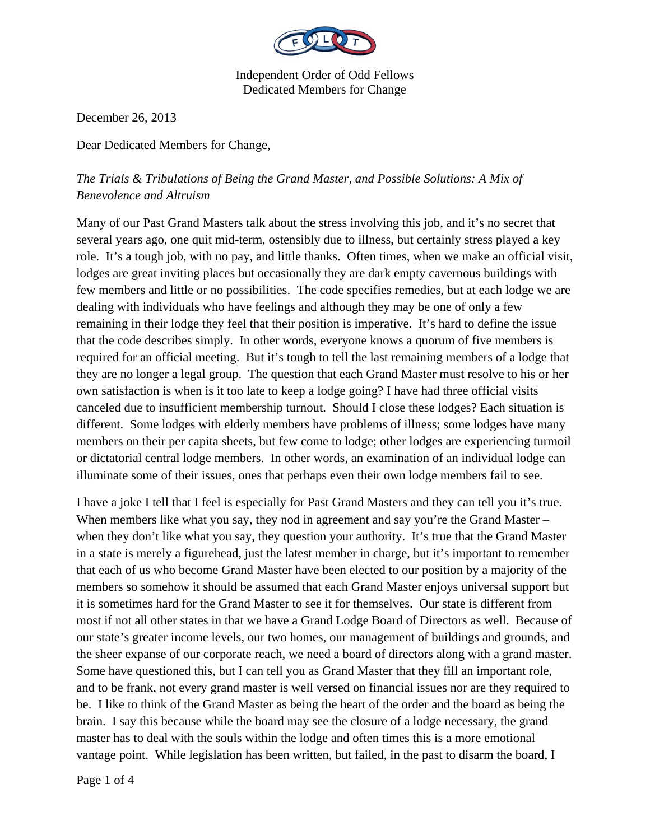

December 26, 2013

Dear Dedicated Members for Change,

*The Trials & Tribulations of Being the Grand Master, and Possible Solutions: A Mix of Benevolence and Altruism* 

Many of our Past Grand Masters talk about the stress involving this job, and it's no secret that several years ago, one quit mid-term, ostensibly due to illness, but certainly stress played a key role. It's a tough job, with no pay, and little thanks. Often times, when we make an official visit, lodges are great inviting places but occasionally they are dark empty cavernous buildings with few members and little or no possibilities. The code specifies remedies, but at each lodge we are dealing with individuals who have feelings and although they may be one of only a few remaining in their lodge they feel that their position is imperative. It's hard to define the issue that the code describes simply. In other words, everyone knows a quorum of five members is required for an official meeting. But it's tough to tell the last remaining members of a lodge that they are no longer a legal group. The question that each Grand Master must resolve to his or her own satisfaction is when is it too late to keep a lodge going? I have had three official visits canceled due to insufficient membership turnout. Should I close these lodges? Each situation is different. Some lodges with elderly members have problems of illness; some lodges have many members on their per capita sheets, but few come to lodge; other lodges are experiencing turmoil or dictatorial central lodge members. In other words, an examination of an individual lodge can illuminate some of their issues, ones that perhaps even their own lodge members fail to see.

I have a joke I tell that I feel is especially for Past Grand Masters and they can tell you it's true. When members like what you say, they nod in agreement and say you're the Grand Master – when they don't like what you say, they question your authority. It's true that the Grand Master in a state is merely a figurehead, just the latest member in charge, but it's important to remember that each of us who become Grand Master have been elected to our position by a majority of the members so somehow it should be assumed that each Grand Master enjoys universal support but it is sometimes hard for the Grand Master to see it for themselves. Our state is different from most if not all other states in that we have a Grand Lodge Board of Directors as well. Because of our state's greater income levels, our two homes, our management of buildings and grounds, and the sheer expanse of our corporate reach, we need a board of directors along with a grand master. Some have questioned this, but I can tell you as Grand Master that they fill an important role, and to be frank, not every grand master is well versed on financial issues nor are they required to be. I like to think of the Grand Master as being the heart of the order and the board as being the brain. I say this because while the board may see the closure of a lodge necessary, the grand master has to deal with the souls within the lodge and often times this is a more emotional vantage point. While legislation has been written, but failed, in the past to disarm the board, I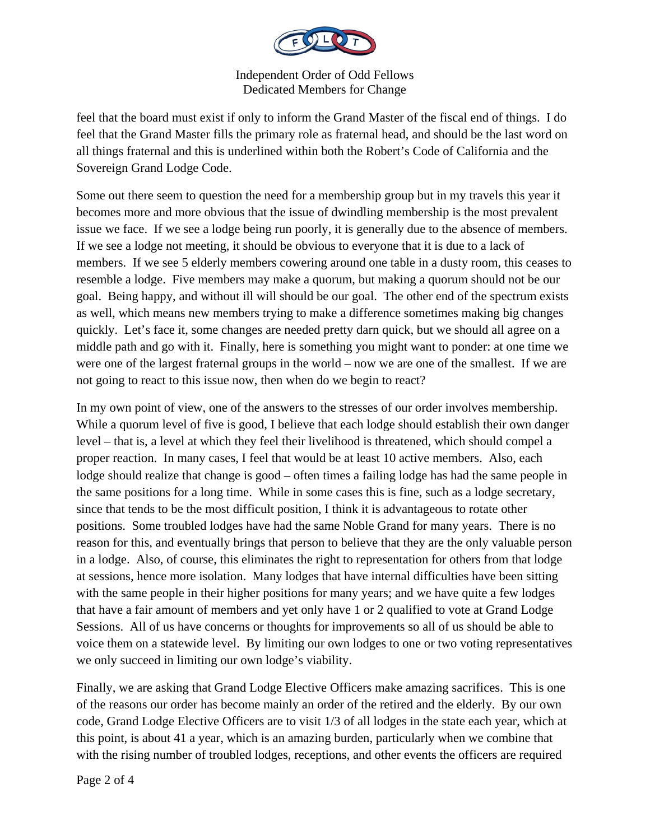

feel that the board must exist if only to inform the Grand Master of the fiscal end of things. I do feel that the Grand Master fills the primary role as fraternal head, and should be the last word on all things fraternal and this is underlined within both the Robert's Code of California and the Sovereign Grand Lodge Code.

Some out there seem to question the need for a membership group but in my travels this year it becomes more and more obvious that the issue of dwindling membership is the most prevalent issue we face. If we see a lodge being run poorly, it is generally due to the absence of members. If we see a lodge not meeting, it should be obvious to everyone that it is due to a lack of members. If we see 5 elderly members cowering around one table in a dusty room, this ceases to resemble a lodge. Five members may make a quorum, but making a quorum should not be our goal. Being happy, and without ill will should be our goal. The other end of the spectrum exists as well, which means new members trying to make a difference sometimes making big changes quickly. Let's face it, some changes are needed pretty darn quick, but we should all agree on a middle path and go with it. Finally, here is something you might want to ponder: at one time we were one of the largest fraternal groups in the world – now we are one of the smallest. If we are not going to react to this issue now, then when do we begin to react?

In my own point of view, one of the answers to the stresses of our order involves membership. While a quorum level of five is good, I believe that each lodge should establish their own danger level – that is, a level at which they feel their livelihood is threatened, which should compel a proper reaction. In many cases, I feel that would be at least 10 active members. Also, each lodge should realize that change is good – often times a failing lodge has had the same people in the same positions for a long time. While in some cases this is fine, such as a lodge secretary, since that tends to be the most difficult position, I think it is advantageous to rotate other positions. Some troubled lodges have had the same Noble Grand for many years. There is no reason for this, and eventually brings that person to believe that they are the only valuable person in a lodge. Also, of course, this eliminates the right to representation for others from that lodge at sessions, hence more isolation. Many lodges that have internal difficulties have been sitting with the same people in their higher positions for many years; and we have quite a few lodges that have a fair amount of members and yet only have 1 or 2 qualified to vote at Grand Lodge Sessions. All of us have concerns or thoughts for improvements so all of us should be able to voice them on a statewide level. By limiting our own lodges to one or two voting representatives we only succeed in limiting our own lodge's viability.

Finally, we are asking that Grand Lodge Elective Officers make amazing sacrifices. This is one of the reasons our order has become mainly an order of the retired and the elderly. By our own code, Grand Lodge Elective Officers are to visit 1/3 of all lodges in the state each year, which at this point, is about 41 a year, which is an amazing burden, particularly when we combine that with the rising number of troubled lodges, receptions, and other events the officers are required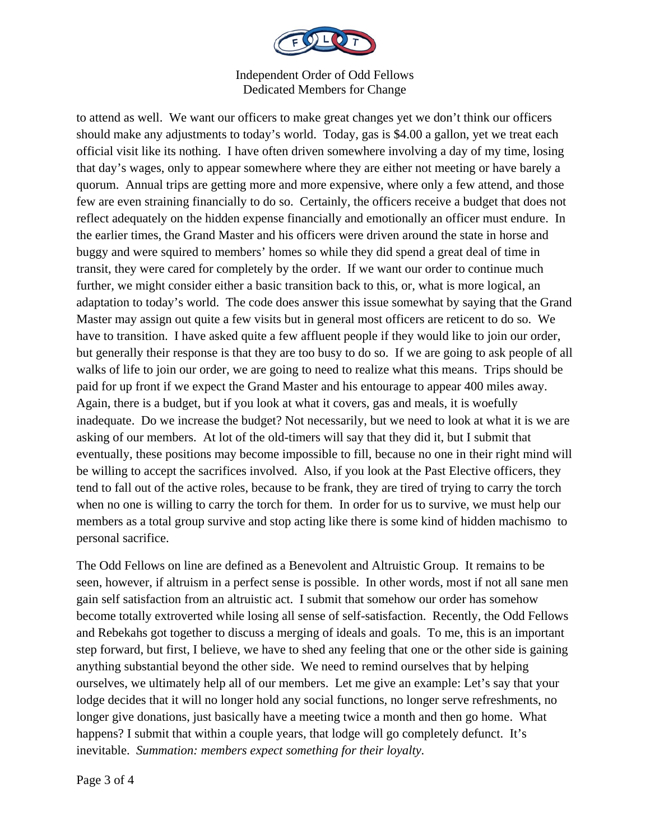

to attend as well. We want our officers to make great changes yet we don't think our officers should make any adjustments to today's world. Today, gas is \$4.00 a gallon, yet we treat each official visit like its nothing. I have often driven somewhere involving a day of my time, losing that day's wages, only to appear somewhere where they are either not meeting or have barely a quorum. Annual trips are getting more and more expensive, where only a few attend, and those few are even straining financially to do so. Certainly, the officers receive a budget that does not reflect adequately on the hidden expense financially and emotionally an officer must endure. In the earlier times, the Grand Master and his officers were driven around the state in horse and buggy and were squired to members' homes so while they did spend a great deal of time in transit, they were cared for completely by the order. If we want our order to continue much further, we might consider either a basic transition back to this, or, what is more logical, an adaptation to today's world. The code does answer this issue somewhat by saying that the Grand Master may assign out quite a few visits but in general most officers are reticent to do so. We have to transition. I have asked quite a few affluent people if they would like to join our order, but generally their response is that they are too busy to do so. If we are going to ask people of all walks of life to join our order, we are going to need to realize what this means. Trips should be paid for up front if we expect the Grand Master and his entourage to appear 400 miles away. Again, there is a budget, but if you look at what it covers, gas and meals, it is woefully inadequate. Do we increase the budget? Not necessarily, but we need to look at what it is we are asking of our members. At lot of the old-timers will say that they did it, but I submit that eventually, these positions may become impossible to fill, because no one in their right mind will be willing to accept the sacrifices involved. Also, if you look at the Past Elective officers, they tend to fall out of the active roles, because to be frank, they are tired of trying to carry the torch when no one is willing to carry the torch for them. In order for us to survive, we must help our members as a total group survive and stop acting like there is some kind of hidden machismo to personal sacrifice.

The Odd Fellows on line are defined as a Benevolent and Altruistic Group. It remains to be seen, however, if altruism in a perfect sense is possible. In other words, most if not all sane men gain self satisfaction from an altruistic act. I submit that somehow our order has somehow become totally extroverted while losing all sense of self-satisfaction. Recently, the Odd Fellows and Rebekahs got together to discuss a merging of ideals and goals. To me, this is an important step forward, but first, I believe, we have to shed any feeling that one or the other side is gaining anything substantial beyond the other side. We need to remind ourselves that by helping ourselves, we ultimately help all of our members. Let me give an example: Let's say that your lodge decides that it will no longer hold any social functions, no longer serve refreshments, no longer give donations, just basically have a meeting twice a month and then go home. What happens? I submit that within a couple years, that lodge will go completely defunct. It's inevitable. *Summation: members expect something for their loyalty.*